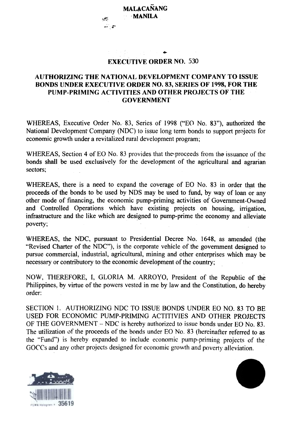$~\cdots~$ 

## EXECUTIVE ORDER NO. 530

...

## AUTHORIZING THE NATIONAL DEVELOPMENT COMPANY TO ISSUE BONDS UNDER EXECUTIVE ORDER NO. 83, SERIES OF 1998, FOR THE PUMP-PRIMING ACTIVITIES AND OTHER PROJECTS OF THE GOVERNMENT

WHEREAS, Executive Order No. 83, Series of 1998 ("EO No. 83"), authorized the National Development Company (NDC) to issue long term bonds to support projects for economic growth under a revitalized rural development program;

WHEREAS, Section 4 of EO No. 83 provides that the proceeds from the issuance of the bonds shall be used exclusively for the development of the agricultural and agrarian sectors;

WHEREAS, there is a need to expand the coverage of EO No. 83 in order that the proceeds of the bonds to be used by NOS may be used to fund, by way of loan or any other mode of financing, the economic pump-priming activities of Government-Owned and Controlled Operations which have existing projects on housing, irrigation, infrastructure and the like which are designed to pump-prime the economy and alleviate poverty;

WHEREAS, the NDC, pursuant to Presidential Decree No. 1648, as amended (the "Revised Charter of the NDC"), is the corporate vehicle of the government designed to pursue commercial, industrial, agricultural, mining and other enterprises which may be necessary or contributory to the economic development of the country;

NOW, THEREFORE, I, GLORIA M. ARROYO, President of the Republic of the Philippines, by virtue of the powers vested in me by law and the Constitution, do hereby order:

SECTION 1. AUTHORIZING NDC TO ISSUE BONDS UNDER EO NO. 83 TO BE USED FOR ECONOMIC PUMP-PRIMING ACTITIVIES AND OTHER PROJECTS OF THE GOVERNMENT - NDC is hereby authorized to issue bonds under EO No. 83. The utilization of the proceeds of the bonds under EO No. 83 (hereinafter referred to as the "Fund") is hereby expanded to include economic pump-priming projects of the GOCCs and any other projects designed for economic growth and poverty alleviation.